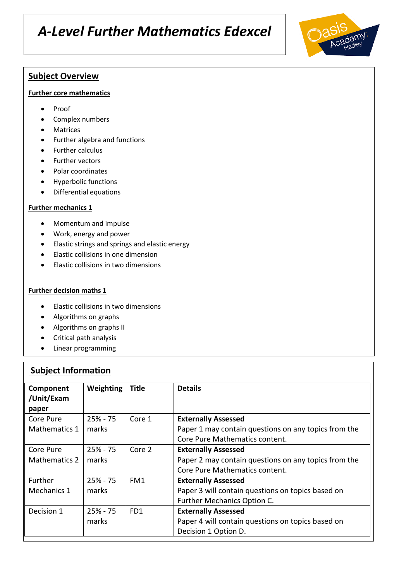# **Subject Overview**

#### **Further core mathematics**

- Proof
- Complex numbers
- Matrices
- Further algebra and functions
- Further calculus
- Further vectors
- Polar coordinates
- Hyperbolic functions
- Differential equations

#### **Further mechanics 1**

- Momentum and impulse
- Work, energy and power
- Elastic strings and springs and elastic energy
- Elastic collisions in one dimension
- Elastic collisions in two dimensions

#### **Further decision maths 1**

- Elastic collisions in two dimensions
- Algorithms on graphs
- Algorithms on graphs II
- Critical path analysis
- Linear programming

### **Subject Information**

| Component<br>/Unit/Exam<br>paper | Weighting   | Title           | <b>Details</b>                                       |
|----------------------------------|-------------|-----------------|------------------------------------------------------|
| Core Pure                        | $25% - 75$  | Core 1          | <b>Externally Assessed</b>                           |
| Mathematics 1                    | marks       |                 | Paper 1 may contain questions on any topics from the |
|                                  |             |                 | Core Pure Mathematics content.                       |
| Core Pure                        | $25% - 75$  | Core 2          | <b>Externally Assessed</b>                           |
| Mathematics 2                    | marks       |                 | Paper 2 may contain questions on any topics from the |
|                                  |             |                 | Core Pure Mathematics content.                       |
| Further                          | $25% - 75$  | FM1             | <b>Externally Assessed</b>                           |
| Mechanics 1                      | marks       |                 | Paper 3 will contain questions on topics based on    |
|                                  |             |                 | Further Mechanics Option C.                          |
| Decision 1                       | $25\% - 75$ | FD <sub>1</sub> | <b>Externally Assessed</b>                           |
|                                  | marks       |                 | Paper 4 will contain questions on topics based on    |
|                                  |             |                 | Decision 1 Option D.                                 |